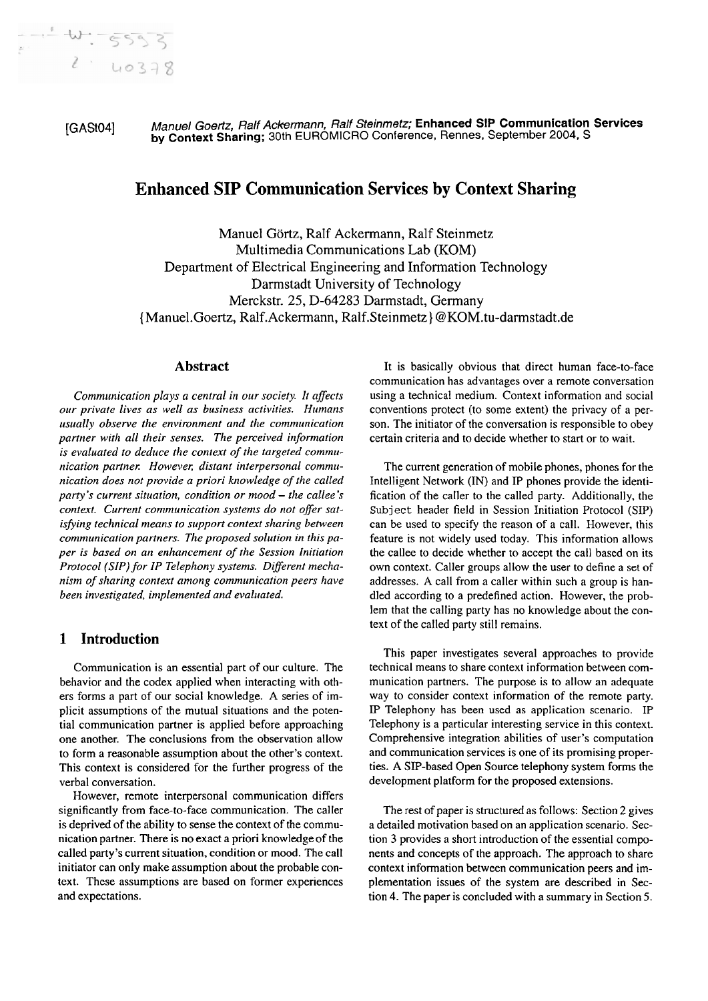**[GA3041** Manuel Goertz, Ralf Ackermann, Ralf Steinmetz; **Enhanced** SIP **Communication Services by Context Sharing;** 30th EUROMICRO Conference, Rennes, September 2004, S

# **Enhanced SIP Communication Services by Context Sharing**

Manuel Görtz, Ralf Ackermann, Ralf Steinmetz Multimedia Communications Lab (KOM) Department of Electrical Engineering and Information Technology Darmstadt University of Technology Merckstr. 25, D-64283 Darmstadt, Germany { Manuel-Goertz, Ralf.Ackermann, Ralf.Steinmetz } @KOM. tu-darmstadt.de

# **Abstract**

*Communication plays a central in our society. lt affects oirr private lives as well as business activities. Humans usually observe the environment und the communication partner wrth all their senses. The perceived information is evaluated to deduce the context of the targeted commu*nication partner. However, distant interpersonal commu*nication does not provide a priori knowledge of the called Party's current situation, condition or mood - the callee's context. Current communication systems do not offer satisfying technical means to support context sharing between*  communication partners. The proposed solution in this pa*per is based on an enhancement of the Session Initiation Protocol (SIP) for IP Telephony systems. Different mechanism of sharing context among communication peers have* been investigated, implemented and evaluated.

# **1 Introduction**

Communication is an essential part of our culture. The behavior and the codex applied when interacting with others forms a part of our social knowledge. **A** series of implicit assumptions of the mutual situations and the potential communication partner is applied before approaching one another. The conclusions from the observation allow to form a reasonable assumption about the other's context. This context is considered for the further progress of the verbal conversation.

However, remote interpersonal communication differs significantly from face-to-face communication. The caller is deprived of the ability to sense the context of the communication partner. There is no exact a priori knowledge of the called party's current situation, condition or mood. The call initiator can only make assumption about the probable context. These assumptions are based on former experiences and expectations.

It is basically obvious that direct human face-to-face communication has advantages over a remote conversation using a technical medium. Context information and social conventions protect (to some extent) the privacy of a person. The initiator of the conversation is responsible to obey certain criteria and to decide whether to start or to wait.

The current generation of mobile phones, phones for the Intelligent Network (IN) and **P** phones provide the identification of the caller to the called party. Additionally, the **Subject** header field in Session Initiation Protocol (SIP) can be used to specify the reason of a call. However, this feature is not widely used today. This information allows the callee to decide whether to accept the call based on its own context. Caller groups allow the user to define a set of addresses. **A** call from a caller within such a group is handled according to a predefined action. However, the problem that the calling party has no knowledge about the context of the called party still remains.

This paper investigates several approaches to provide technical means to share context information between communication partners. The purpose is to allow an adequate way to consider context information of the remote party. IP Telephony has been used as application scenario. IP Telephony is a particular interesting service in this context. Comprehensive integration abilities of user's computation and communication services is one of its promising properties. A SIP-based Open Source telephony system forms the development platform for the proposed extensions.

The rest of paper is structured as follows: Section 2 gives a detailed motivation based on an application scenario. Section **3** provides a short introduction of the essential components and concepts of the approach. The approach to share context information between communication peers and implementation issues of the system are described in Section 4. The paper is concluded with a summary in Section 5.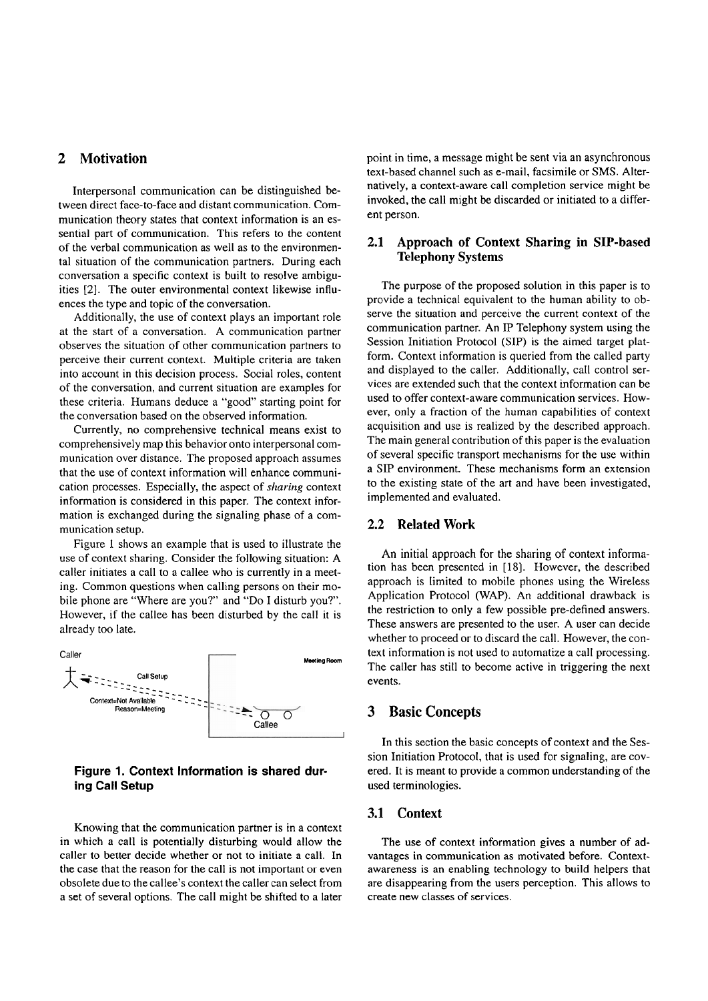# **2 Motivation**

Interpersonal communication can be distinguished between direct face-to-face and distant communication. Communication theory states that context information is an essential part of communication. This refers to the content of the verbal communication as well as to the environmental situation of the communication partners. During each conversation a specific context is built to resolve ambiguities [2]. The outer environmental context likewise influences the type and topic of the conversation.

Additionally, the use of context plays an important role at the start of a conversation. **A** communication partner observes the situation of other communication partners to perceive their current context. Multiple criteria are taken into account in this decision process. Social roles, content of the conversation, and current situation are examples for these criteria. Humans deduce a "good" starting point for the conversation based on the observed information.

Currently, no comprehensive technical means exist to comprehensively map this behavior onto interpersonal communication over distance. The proposed approach assumes that the use of context information will enhance communication processes. Especially, the aspect of *sharing* context information is considered in this paper. The context information is exchanged during the signaling phase of a communication setup.

Figure 1 shows an example that is used to illustrate the use of context sharing. Consider the following situation: A caller initiates a call to a callee who is currently in a meeting. Common questions when calling persons on their mobile phone are "Where are you?" and "Do I disturb you?". However, if the callee has been disturbed by the call it is already too late.



## **Figure 1. Context Information is shared during Ca11 Setup**

Knowing that the communication partner is in a context in which a call is potentially disturbing would allow the caller to better decide whether or not to initiate a call. In the case that the reason for the call is not important or even obsolete due to the callee's context the caller can select from a set of several options. The call might be shifted to a later

point in time, a message might be sent via an asynchronous text-based channel such as e-mail, facsimile or SMS. Alternatively, a context-aware call completion service might be invoked, the call might be discarded or initiated to a different person.

## **2.1 Approach of Context Sharing in SIP-based Telephony Systems**

The purpose of the proposed solution in this paper is to provide a technical equivalent to the human ability to observe the situation and perceive the current context of the communication partner. An IP Telephony System using the Session Initiation Protocol (SIP) is the aimed target platform. Context information is queried from the called party and displayed to the caller. Additionally, call control services are extended such that the context information can be used to offer context-aware communication services. However, only a fraction of the human capabilities of context acquisition and use is realized by the described approach. The main general contribution of this paper is the evaluation of several specific transport mechanisms for the use within a **SIP** environment. These mechanisms form an extension to the existing state of the art and have been investigated, implemented and evaluated.

# **2.2 Related Work**

An initial approach for the sharing of context information has been presented in [18]. However, the described approach is limited to mobile phones using the Wireless Application Protocol (WAP). An additional drawback is the restriction to only a few possible pre-defined answers. These answers are presented to the user. A user can decide whether to proceed or to discard the call. However, the context information is not used to automatize a call processing. The caller has still to become active in triggering the next events.

## **3 Basic Concepts**

In this section the basic concepts of context and the Session Initiation Protocol, that is used for signaling, are covered. It is meant to provide a common understanding of the used terminologies.

# **3.1 Context**

The use of context information gives a number of advantages in communication as motivated before. Contextawareness is an enabling technology to build helpers that are disappearing from the Users perception. This allows to create new classes of services.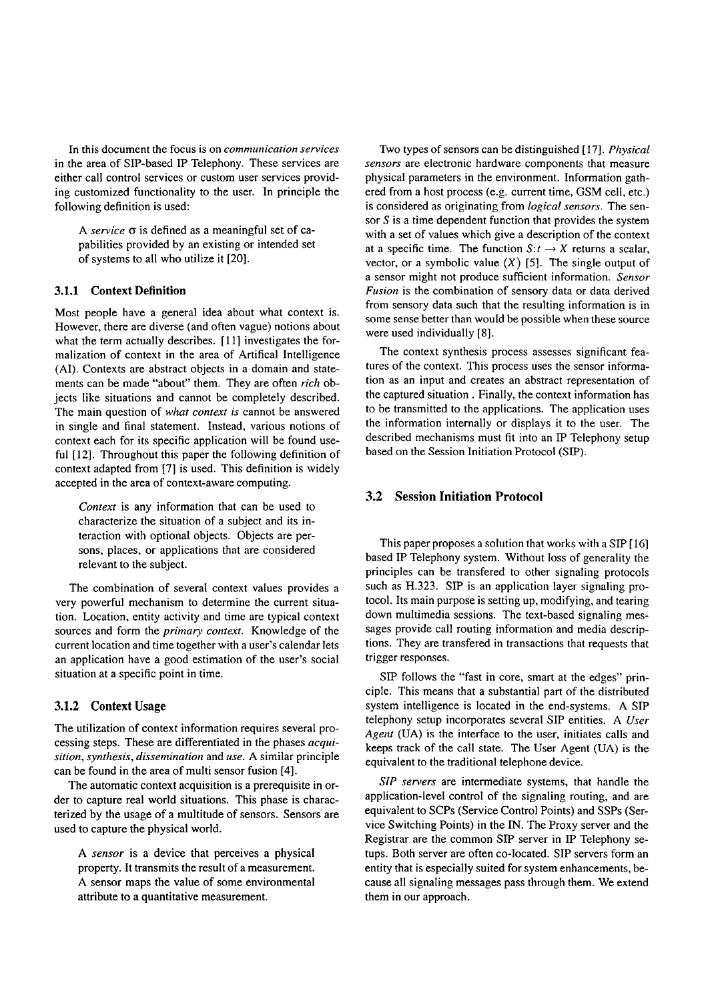In this document the focus is on *communication services* in the area of SIP-based IP Telephony. These services are either call control services or custom User services providing customized functionality to the user. In principle the following definition is used:

A *service*  $\sigma$  is defined as a meaningful set of capabilities provided by an existing or intended set of systems to all who utilize it [20].

#### **3.1.1 Context Definition**

Most people have a general idea about what context is. However, there are diverse (and often vague) notions about what the term actually describes. [11] investigates the formalization of context in the area of Artifical Intelligence (AI). Contexts are abstract objects in a domain and statements can be made "about" them. They are often *rich* objects like situations and cannot be completely described. The main question of *what context is* cannot be answered in single and final statement. Instead, various notions of context each for its specific application will be found useful [12]. Throughout this paper the following definition of context adapted from [7] is used. This definition is widely accepted in the area of context-aware computing.

*Context* is any information that can be used to characterize the situation of a subject and its interaction with optional objects. Objects are persons, places, or applications that are considered relevant to the subject.

The combination of several context values provides a very powerful mechanism to determine the current situation. Location, entity activity and time are typical context sources and form the *primary context.* Knowledge of the current location and time together with a user's calendar lets an application have a good estimation of the user's social situation at a specific point in time.

#### **3.1.2 Context Usage**

The utilization of context information requires several processing steps. These are differentiated in the phases *acqui* $sition, synthesis, dissemination and use. A similar principle$ can be found in the area of multi sensor fusion [4].

The automatic context acquisition is a prerequisite in order to capture real world situations. This phase is characterized by the usage of a multitude of sensors. Sensors are used to capture the physical world.

*A sensor* is a device that perceives a physical property. It transmits the result of a measurement. A sensor maps the value of some environmental attribute to a quantitative measurement.

Two types of sensors can be distinguished [17]. *Physical sensors* are electronic hardware components that measure physical parameters in the environment. Information gathered from a host process (e.g. current time, GSM cell, etc.) is considered as originating from *logical sensors.* The sensor  $S$  is a time dependent function that provides the system with a set of values which give a description of the context at a specific time. The function  $S: t \to X$  returns a scalar, vector, or a symbolic value  $(X)$  [5]. The single output of a sensor might not produce sufficient information. *Sensor Fusion* is the combination of sensory data or data derived from sensory data such that the resulting information is in some sense better than would be possible when these source were used individually [8].

The context synthesis process assesses significant features of the context. This process uses the sensor information as an input and creates an abstract representation of the captured situation . Finally, the context information has to be transmitted to the applications. The application uses the information internally or displays it to the user. The described mechanisms must fit into an IP Telephony setup based on the Session Initiation Protocol (SIP).

# **3.2 Session Initiation Protocol**

This paper proposes a solution that works with a SIP [16] based IP Telephony system. Without loss of generality the principles can be transfered to other signaling protocols such as **H.323.** SiP is an application layer signaling protocol. Its main purpose is setting up, modifying, and tearing down multimedia sessions. The text-based signaling messages provide call routing information and media descriptions. They are transfered in transactions that requests that trigger responses.

SiP follows the "fast in core, smart at the edges" principle. This means that a substantial part of the distributed system intelligence is located in the end-systems. A SIP telephony setup incorporates several SIP entities. A *User Agent* (UA) is the interface to the user, initiates calls and keeps track of the call state. The User Agent (UA) is the equivalent to the traditional telephone device.

*SIP servers* are intermediate systems, that handle the application-level control of the signaling routing, and are equivalent to SCPs (Service Control Points) and SSPs (Service Switching Points) in the IN. The Proxy server and the Registrar are the common SIP server in **IP** Telephony setups. Both server are often co-located. SIP servers form an entity that is especially suited for system enhancements, because all signaling messages pass through them. We extend them in our approach.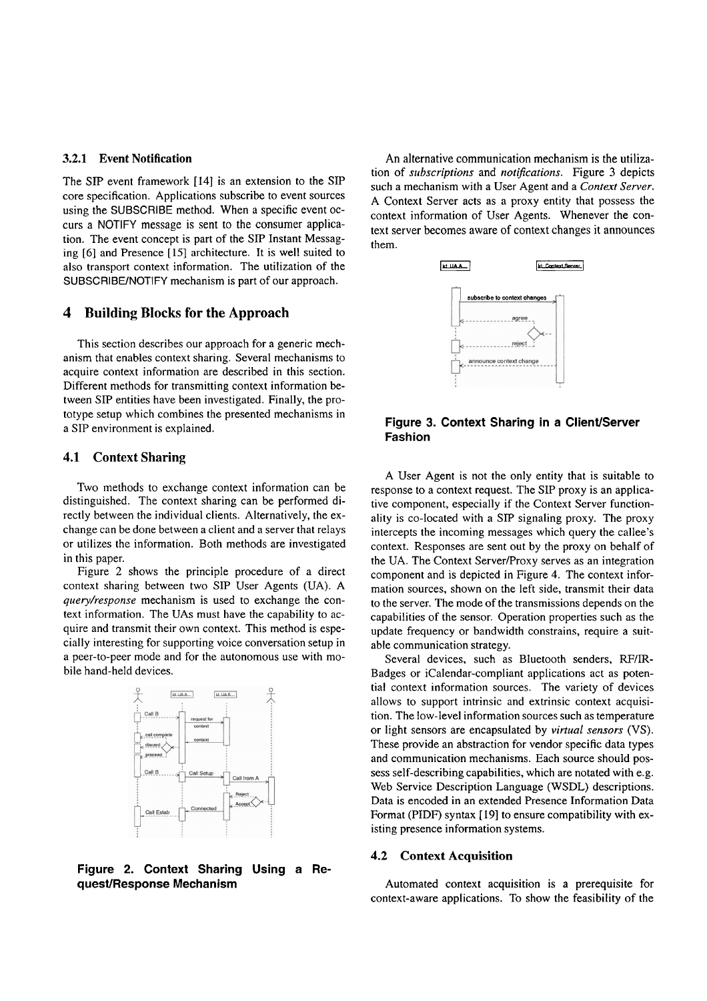#### **3.2.1 Event Notification**

The SIP event framework [14] is an extension to the SIP core specification. Applications subscribe to event sources using the SUBSCRIBE method. When a specific event occurs a NOTIFY message is sent to the consumer application. The event concept is part of the SIP Instant Messaging [6] and Presence [15] architecture. It is well suited to also transport context information. The utilization of the SUBSCRIBE/NOTIFY mechanism is part of our approach.

## **4 Building Blocks for the Approach**

This section describes our approach for a generic mechanism that enables context sharing. Several mechanisms to acquire context information are described in this section. Different methods for transmitting context information between SIP entities have been investigated. Finally, the prototype setup which combines the presented mechanisms in a SIP environment is explained.

#### **4.1 Context Sharing**

Two methods to exchange context information can be distinguished. The context sharing can be performed directly between the individual clients. Alternatively, the exchange can be done between a client and a server that relays or utilizes the information. Both methods are investigated in this paper.

Figure 2 shows the principle procedure of a direct context sharing between two SIP User Agents (UA). A *query/response* mechanism is used to exchange the context information. The UAs must have the capability to acquire and transmit their own context. This method is especially interesting for supporting voice conversation setup in a peer-to-peer mode and for the autonomous use with mobile hand-held devices.



**Figure 2. Context Sharing Using a Request/ Response Mechanism** 

An alternative communication mechanism is the utilization of *subscriptions* and *notifications*. Figure 3 depicts such a mechanism with a User Agent and a *Context Server.*  A Context Server acts as a proxy entity that possess the context information of User Agents. Whenever the context server becomes aware of context changes it announces them.



# **Figure 3. Context Sharing in a Client/Server Fashion**

A User Agent is not the only entity that is suitable to response to a context request. The SLP proxy is an applicative component, especially if the Context Server functionality is CO-located with a SIP signaling proxy. The proxy intercepts the incoming messages which query the callee's context. Responses are sent out by the proxy on behalf of the UA. The Context Server/Proxy serves as an integration component and is depicted in Figure 4. The context information sources, shown on the left side, transmit their data to the server. The mode of the transmissions depends on the capabilities of the Sensor. Operation properties such as the update frequency or bandwidth constrains, require a suitable communication strategy.

Several devices, such as Bluetooth senders, RF/IR-Badges or iCalendar-compliant applications act as potential context information sources. The variety of devices allows to support intrinsic and extrinsic context acquisition. The low-level information sources such as temperature or light sensors are encapsulated by *virtual sensors* (VS). These provide an abstraction for vendor specific data types and communication mechanisms. Each source should possess self-describing capabilities, which are notated with e.g. Web Service Description Language (WSDL) descriptions. Data is encoded in an extended Presence Information Data Format (PIDF) syntax [19] to ensure compatibility with existing presence information systems.

#### **4.2 Context Acquisition**

Automated context acquisition is a prerequisite for context-aware applications. To show the feasibility of the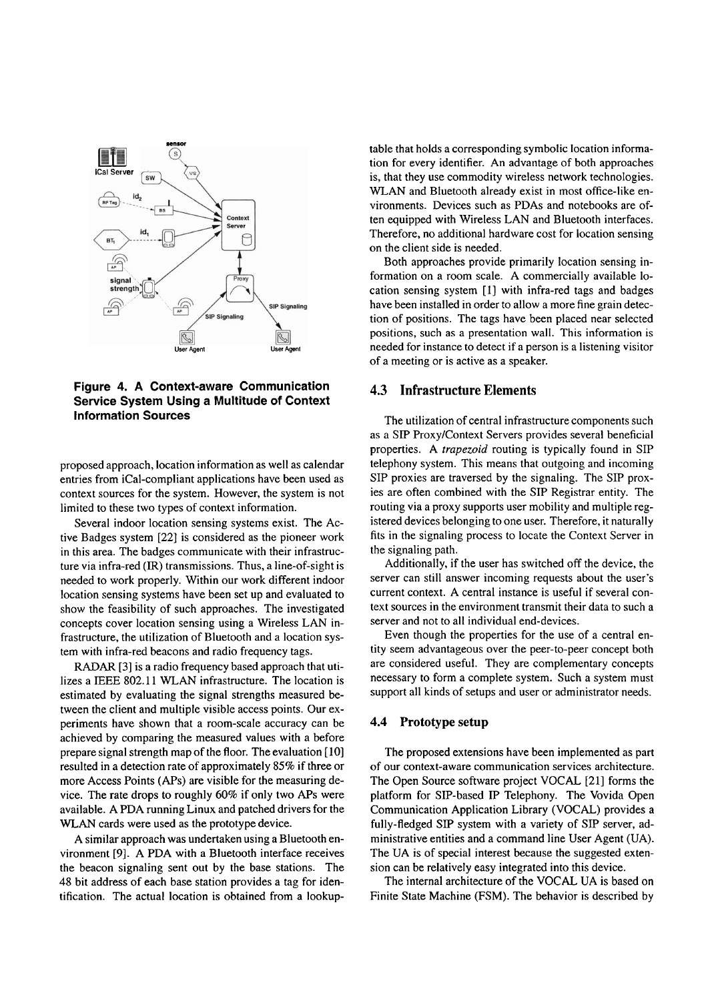

**Figure 4. A Context-aware Communication Service System Using a Multitude of Context Information Sources** 

proposed approach, location information as well as calendar entries from iCal-compliant applications have been used as context sources for the system. However, the system is not limited to these two types of context information.

Several indoor location sensing systems exist. The Active Badges system [22] is considered as the pioneer work in this area. The badges communicate with their infrastructure via infra-red (IR) transmissions. Thus, a line-of-sight is needed to work properly. Within our work different indoor location sensing systems have been set up and evaluated to show the feasibility of such approaches. The investigated concepts Cover location sensing using a Wireless LAN infrastructure, the utilization of Bluetooth and a location system with infra-red beacons and radio frequency tags.

RADAR [3] is a radio frequency based approach that utilizes a IEEE 802.11 WLAN infrastructure. The location is estimated by evaluating the signal strengths measured between the client and multiple visible access points. Our experiments have shown that a room-scale accuracy can be achieved by comparing the measured values with a before prepare signal strength map of the floor. The evaluation [10] resulted in a detection rate of approximately 85% if three or more Access Points (APs) are visible for the measuring device. The rate drops to roughly 60% if only two APs were available. A PDA running Linux and patched drivers for the WLAN cards were used as the prototype device.

A similar approach was undertaken using a Bluetooth environment **[9].** A PDA with a Bluetooth interface receives the beacon signaling sent out by the base stations. The 48 bit address of each base station provides a tag for identification. The actual location is obtained from a lookuptable that holds a corresponding symbolic location information for every identifier. An advantage of both approaches is, that they use commodity wireless network technologies. WLAN and Bluetooth already exist in most office-like environments. Devices such as PDAs and notebooks are often equipped with Wireless LAN and Bluetooth interfaces. Therefore, no additional hardware cost for location sensing on the client side is needed.

Both approaches provide primarily location sensing information on a room scale. A commercially available location sensing system [I] with infra-red tags and badges have been installed in order to allow a more fine grain detection of positions. The tags have been placed near selected positions, such as a presentation wall. This information is needed for instance to detect if a person is a listening visitor of a meeting or is active as a speaker.

## **4.3 Infrastructure Elements**

The utilization of central infrastructure components such as a SIP ProxyIContext Servers provides several beneficial properties. A trapezoid routing is typically found in SIP telephony system. This means that outgoing and incoming SIP proxies are traversed by the signaling. The SIP proxies are often combined with the SIP Registrar entity. The routing via a proxy supports user mobility and multiple registered devices belonging to one user. Therefore, it naturally fits in the signaling process to locate the Context Server in the signaling path.

Additionally, if the user has switched off the device, the server can still answer incoming requests about the user's current context. A central instance is useful if several context sources in the environment transmit their data to such a server and not to all individual end-devices.

Even though the properties for the use of a central entity seem advantageous over the peer-to-peer concept both are considered useful. They are complementary concepts necessary to form a complete system. Such a system must support all kinds of setups and user or administrator needs.

#### 4.4 **Prototype setup**

The proposed extensions have been implemented as part of our context-aware communication services architecture. The Open Source software project VOCAL [21] forms the platform for SIP-based IP Telephony. The Vovida Open Communication Application Library (VOCAL) provides a fully-fledged SIP system with a variety of SIP server, administrative entities and a command line User Agent (UA). The UA is of special interest because the suggested extension can be relatively easy integrated into this device.

The internal architecture of the VOCAL UA is based on Finite State Machine (FSM). The behavior is described by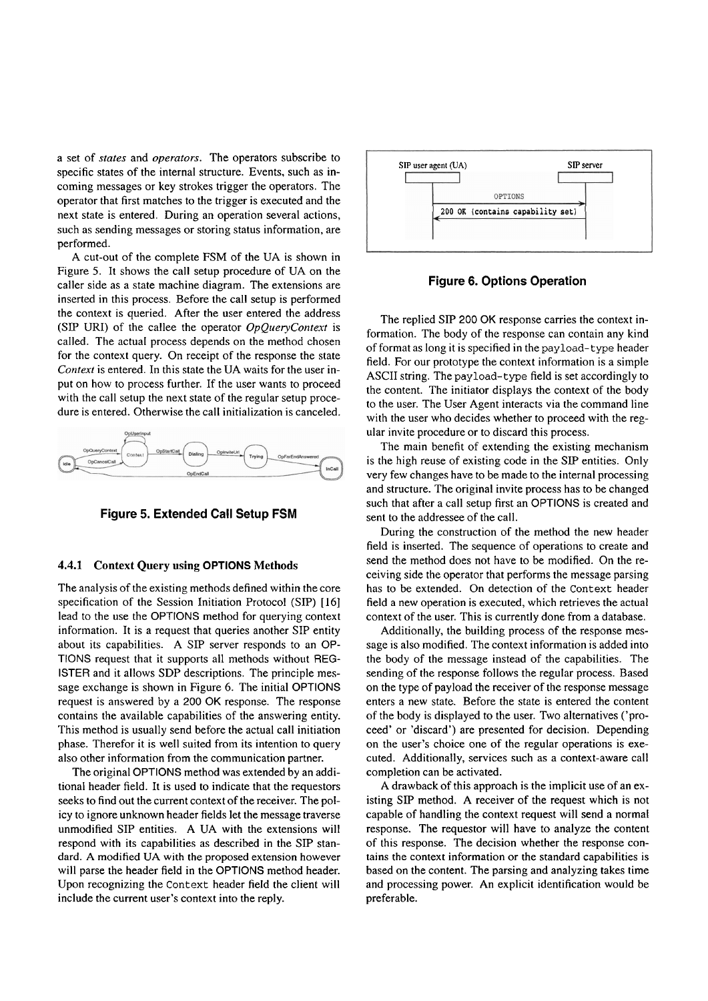a Set of *states* and *operators.* The operators subscribe to specific states of the internal structure. Events, such as incoming messages or key strokes trigger the operators. The operator that first matches to the trigger is executed and the next state is entered. During an operation several actions, such as sending messages or storing status information, are performed.

A cut-out of the complete FSM of the UA is shown in Figure *5.* It shows the call setup procedure of UA on the caller side as a state machine diagram. The extensions are inserted in this process. Before the call setup is performed the context is queried. After the user entered the address (SIP URI) of the callee the operator *OpQueryContext* is called. The actual process depends on the method chosen for the context query. On receipt of the response the state *Context* is entered. In this state the UA waits for the user input on how to process further. If the user wants to proceed with the call setup the next state of the regular setup procedure is entered. Otherwise the call initialization is canceled.



**Figure 5. Extended Call Setup FSM** 

## **4.4.1 Context Query using OPTIONS Methods**

The analysis of the existing methods defined within the core specification of the Session Initiation Protocol (SIP) [16] lead to the use the OPTIONS method for querying context information. It is a request that queries another SIP entity about its capabilities. A SiP server responds to an OP-TIONS request that it Supports all methods without REG-ISTER and it allows SDP descriptions. The principle message exchange is shown in Figure 6. The initial OPTIONS request is answered by a 200 OK response. The response contains the available capabilities of the answering entity. This method is usually send before the actual call initiation phase. Therefor it is well suited from its intention to query also other information from the communication partner.

The original OPTIONS method was extended by an additional header field. It is used to indicate that the requestors seeks to find out the current context of the receiver. The policy to ignore unknown header fields let the message traverse unmodified SIP entities. A UA with the extensions will respond with its capabilities as described in the SiP standard. A modified UA with the proposed extension however will parse the header field in the OPTIONS method header. Upon recognizing the Context header field the client will include the current user's context into the reply.



**Figure 6. Options Operation** 

The replied SIP 200 OK response carries the context information. The body of the response can contain any kind of format as long it is specified in the payload-type header field. For our prototype the context information is a simple ASCII string. The payload- type field is set accordingly to the content. The initiator displays the context of the body to the user. The User Agent interacts via the command line with the user who decides whether to proceed with the regular invite procedure or to discard this process.

The main benefit of extending the existing mechanism is the high reuse of existing code in the SIP entities. Only very few changes have to be made to the internal processing and structure. The original invite process has to be changed such that after a call setup first an OPTIONS is created and sent to the addressee of the call.

During the construction of the method the new header field is inserted. The sequence of operations to create and send the method does not have to be modified. On the receiving side the operator that performs the message parsing has to be extended. On detection of the Context header field a new operation is executed, which retrieves the actual context of the user. This is currently done from a database.

Additionally, the building process of the response message is also modified. The context information is added into the body of the message instead of the capabilities. The sending of the response follows the regular process. Based on the type of payload the receiver of the response message enters a new state. Before the state is entered the content of the body is displayed to the user. Two alternatives ('proceed' or 'discard') are presented for decision. Depending on the user's choice one of the regular operations is executed. Additionally, services such as a context-aware call completion can be activated.

A drawback of this approach is the implicit use of an existing SIP method. A receiver of the request which is not capable of handling the context request will send a normal response. The requestor will have to analyze the content of this response. The decision whether the response contains the context information or the standard capabilities is based on the content. The parsing and analyzing takes time and processing power. An explicit identification would be preferable.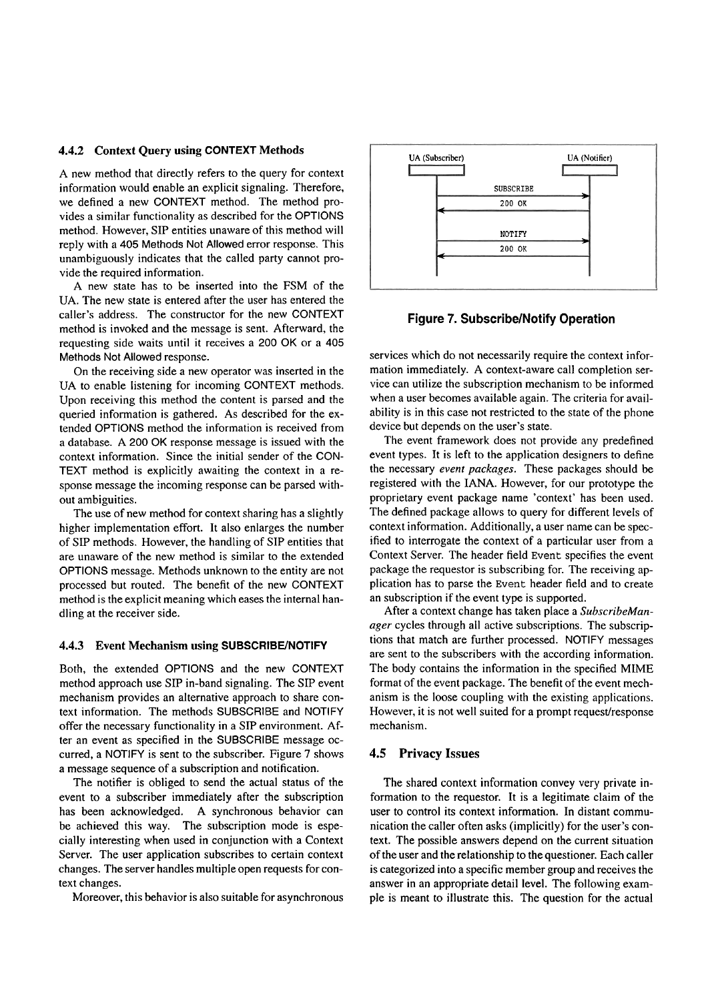#### **4.4.2 Context Query using CONTEXT Methods**

A new method that directly refers to the query for context information would enable an explicit signaling. Therefore, we defined a new CONTEXT method. The method provides a similar functionality as described for the OPTIONS method. However, SIP entities unaware of this method will reply with a 405 Methods Not Allowed error response. This unambiguously indicates that the called party cannot provide the required information.

A new state has to be inserted into the FSM of the UA. The new state is entered after the user has entered the caller's address. The constructor for the new CONTEXT method is invoked and the message is sent. Afterward, the requesting side waits until it receives a 200 OK or a 405 Methods Not Allowed response.

On the receiving side a new Operator was inserted in the UA to enable listening for incoming CONTEXT methods. Upon receiving this method the content is parsed and the queried information is gathered. As described for the extended OPTIONS method the information is received from a database. **A** 200 OK response message is issued with the context information. Since the initial sender of the CON-TEXT method is explicitly awaiting the context in a response message the incoming response can be parsed without ambiguities.

The use of new method for context sharing has a slightly higher implementation effort. It also enlarges the number of SIP methods. However, the handling of SIP entities that are unaware of the new method is similar to the extended OPTIONS message. Methods unknown to the entity are not processed but routed. The benefit of the new CONTEXT method is the explicit meaning which eases the internal handling at the receiver side.

#### **4.4.3 Event Mechanism using SUBSCRIBE/NOTIFY**

Both, the extended OPTIONS and the new CONTEXT method approach use SIP in-band signaling. The SIP event mechanism provides an alternative approach to share context information. The methods SUBSCRIBE and NOTIFY offer the necessary functionality in a SIP environment. After an event as specified in the SUBSCRIBE message occurred, a NOTIFY is sent to the subscriber. Figure 7 shows a message sequence of a subscription and notification.

The notifier is obliged to send the actual status of the event to a subscriber immediately after the subscription has been acknowledged. A synchronous behavior can be achieved this way. The subscription mode is especially interesting when used in conjunction with a Context Server. The user application subscribes to certain context changes. The server handles multiple open requests for context changes.

Moreover, this behavior is also suitable for asynchronous



#### **Figure 7. Subscribe/Notify Operation**

services which do not necessarily require the context information immediately. A context-aware call completion service can utilize the subscription mechanism to be informed when a user becomes available again. The criteria for availability is in this case not restricted to the state of the phone device but depends on the user's state.

The event framework does not provide any predefined event types. It is left to the application designers to define the necessary *event packages.* These packages should be registered with the IANA. However, for our prototype the proprietary event package name 'context' has been used. The defined package allows to query for different levels of context information. Additionally, a user name can be specified to interrogate the context of a particular user from a Context Server. The header field Event specifies the event package the requestor is subscribing for. The receiving application has to parse the Event header field and to create an subscription if the event type is supported.

After a context change has taken place a *SubscribeManager* cycles through all active subscriptions. The subscriptions that match are further processed. NOTIFY messages are sent to the subscribers with the according information. The body contains the information in the specified MiME format of the event package. The benefit of the event mechanism is the loose coupling with the existing applications. However, it is not well suited for a prompt request/response mechanism.

#### **4.5 Privacy Issues**

The shared context information convey very private information to the requestor. It is a legitimate claim of the user to control its context information. In distant communication the caller often asks (implicitly) for the user's context. The possible answers depend on the current situation of the User and the relationship to the questioner. Each caller is categorized into a specific member group and receives the answer in an appropriate detail level. The following example is meant to illustrate this. The question for the actual